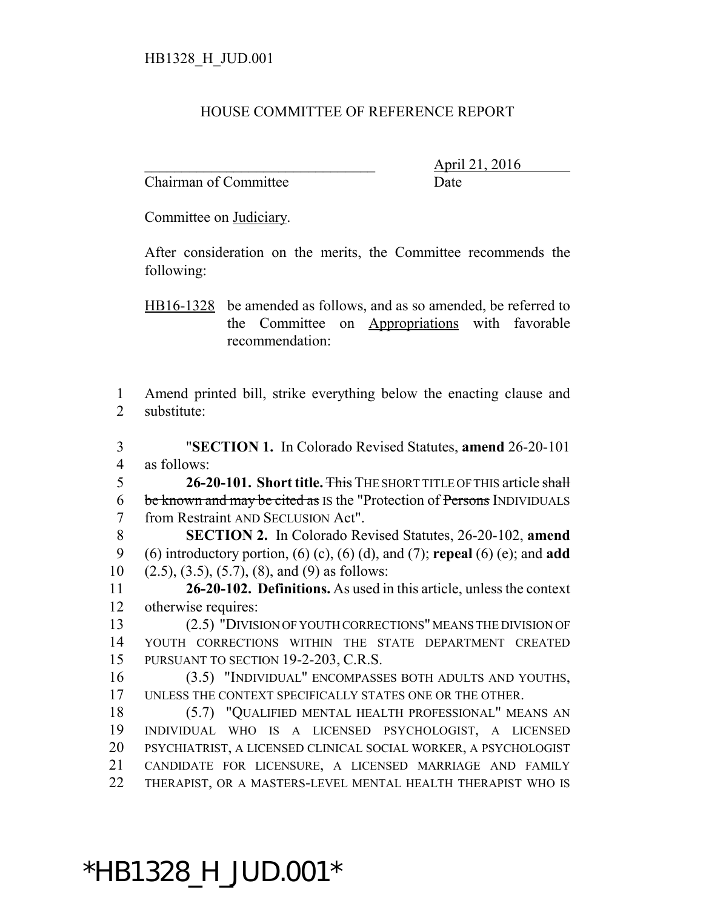#### HOUSE COMMITTEE OF REFERENCE REPORT

Chairman of Committee Date

\_\_\_\_\_\_\_\_\_\_\_\_\_\_\_\_\_\_\_\_\_\_\_\_\_\_\_\_\_\_\_ April 21, 2016

Committee on Judiciary.

After consideration on the merits, the Committee recommends the following:

HB16-1328 be amended as follows, and as so amended, be referred to the Committee on Appropriations with favorable recommendation:

 Amend printed bill, strike everything below the enacting clause and substitute:

 "**SECTION 1.** In Colorado Revised Statutes, **amend** 26-20-101 as follows:

 **26-20-101. Short title.** This THE SHORT TITLE OF THIS article shall 6 be known and may be cited as IS the "Protection of Persons INDIVIDUALS" from Restraint AND SECLUSION Act".

 **SECTION 2.** In Colorado Revised Statutes, 26-20-102, **amend** (6) introductory portion, (6) (c), (6) (d), and (7); **repeal** (6) (e); and **add** 10  $(2.5)$ ,  $(3.5)$ ,  $(5.7)$ ,  $(8)$ , and  $(9)$  as follows:

 **26-20-102. Definitions.** As used in this article, unless the context otherwise requires:

 (2.5) "DIVISION OF YOUTH CORRECTIONS" MEANS THE DIVISION OF YOUTH CORRECTIONS WITHIN THE STATE DEPARTMENT CREATED PURSUANT TO SECTION 19-2-203, C.R.S.

 (3.5) "INDIVIDUAL" ENCOMPASSES BOTH ADULTS AND YOUTHS, UNLESS THE CONTEXT SPECIFICALLY STATES ONE OR THE OTHER.

 (5.7) "QUALIFIED MENTAL HEALTH PROFESSIONAL" MEANS AN INDIVIDUAL WHO IS A LICENSED PSYCHOLOGIST, A LICENSED PSYCHIATRIST, A LICENSED CLINICAL SOCIAL WORKER, A PSYCHOLOGIST CANDIDATE FOR LICENSURE, A LICENSED MARRIAGE AND FAMILY THERAPIST, OR A MASTERS-LEVEL MENTAL HEALTH THERAPIST WHO IS

\*HB1328\_H\_JUD.001\*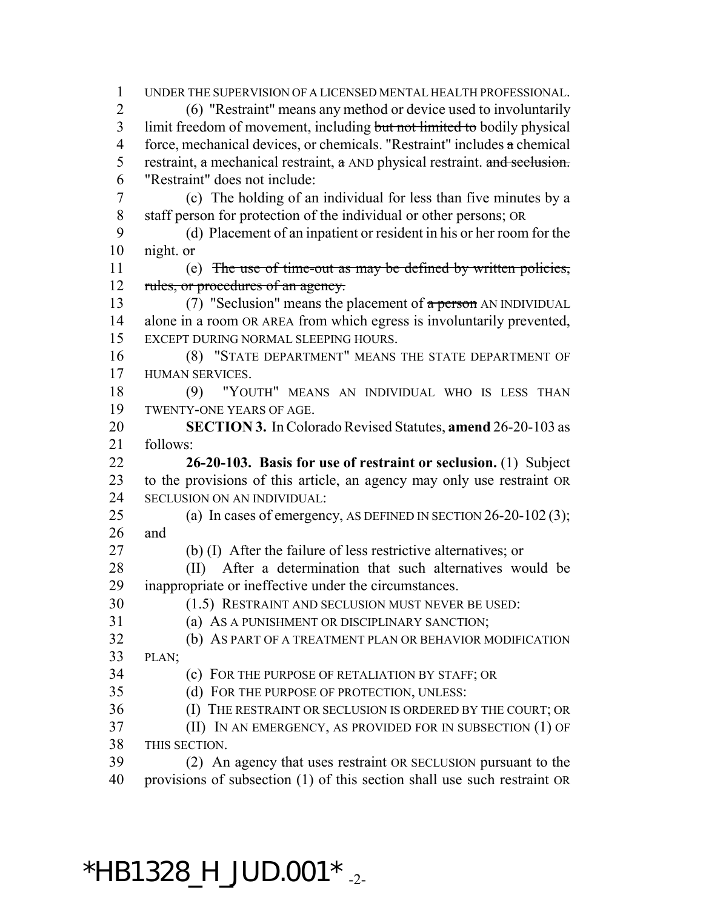UNDER THE SUPERVISION OF A LICENSED MENTAL HEALTH PROFESSIONAL. (6) "Restraint" means any method or device used to involuntarily 3 limit freedom of movement, including but not limited to bodily physical 4 force, mechanical devices, or chemicals. "Restraint" includes  $\alpha$  chemical 5 restraint, a mechanical restraint,  $\alpha$  AND physical restraint. and seclusion. "Restraint" does not include: (c) The holding of an individual for less than five minutes by a staff person for protection of the individual or other persons; OR (d) Placement of an inpatient or resident in his or her room for the 10 night.  $\sigma$  (e) The use of time-out as may be defined by written policies, 12 rules, or procedures of an agency. 13 (7) "Seclusion" means the placement of  $\alpha$  person AN INDIVIDUAL alone in a room OR AREA from which egress is involuntarily prevented, EXCEPT DURING NORMAL SLEEPING HOURS. (8) "STATE DEPARTMENT" MEANS THE STATE DEPARTMENT OF HUMAN SERVICES. (9) "YOUTH" MEANS AN INDIVIDUAL WHO IS LESS THAN TWENTY-ONE YEARS OF AGE. **SECTION 3.** In Colorado Revised Statutes, **amend** 26-20-103 as follows: **26-20-103. Basis for use of restraint or seclusion.** (1) Subject to the provisions of this article, an agency may only use restraint OR SECLUSION ON AN INDIVIDUAL: (a) In cases of emergency, AS DEFINED IN SECTION 26-20-102 (3); and (b) (I) After the failure of less restrictive alternatives; or (II) After a determination that such alternatives would be inappropriate or ineffective under the circumstances. (1.5) RESTRAINT AND SECLUSION MUST NEVER BE USED: (a) AS A PUNISHMENT OR DISCIPLINARY SANCTION; (b) AS PART OF A TREATMENT PLAN OR BEHAVIOR MODIFICATION PLAN; (c) FOR THE PURPOSE OF RETALIATION BY STAFF; OR (d) FOR THE PURPOSE OF PROTECTION, UNLESS: (I) THE RESTRAINT OR SECLUSION IS ORDERED BY THE COURT; OR (II) IN AN EMERGENCY, AS PROVIDED FOR IN SUBSECTION (1) OF THIS SECTION. (2) An agency that uses restraint OR SECLUSION pursuant to the provisions of subsection (1) of this section shall use such restraint OR

#### \*HB1328 H JUD.001\*  $_{.2}$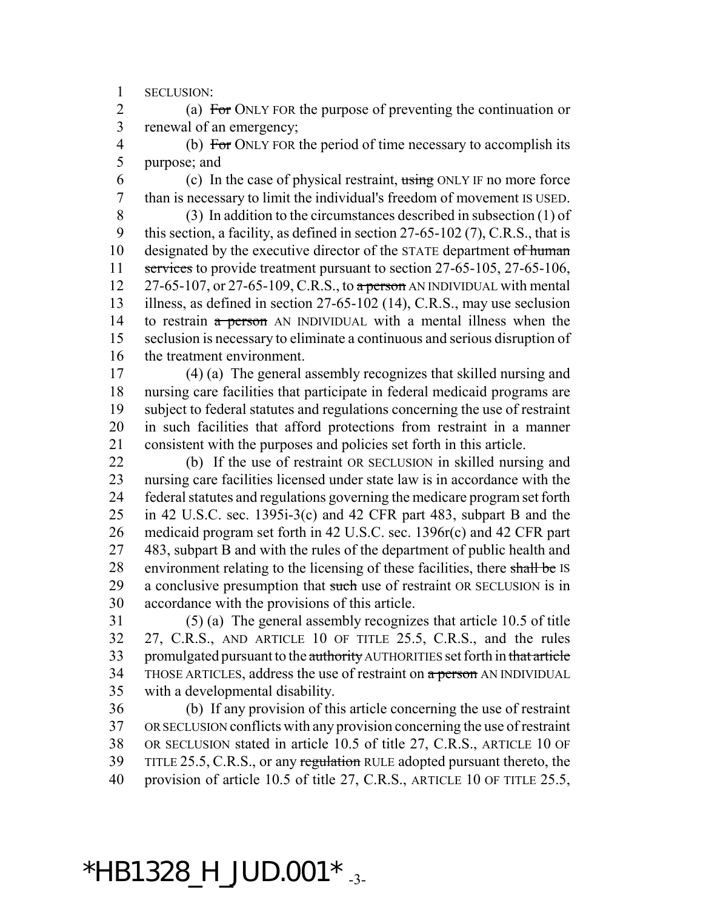SECLUSION:

2 (a) For ONLY FOR the purpose of preventing the continuation or renewal of an emergency;

 (b) For ONLY FOR the period of time necessary to accomplish its purpose; and

6 (c) In the case of physical restraint,  $\frac{1}{100}$  ONLY IF no more force than is necessary to limit the individual's freedom of movement IS USED.

 (3) In addition to the circumstances described in subsection (1) of this section, a facility, as defined in section 27-65-102 (7), C.R.S., that is 10 designated by the executive director of the STATE department of human 11 services to provide treatment pursuant to section 27-65-105, 27-65-106,  $27-65-107$ , or 27-65-109, C.R.S., to a person AN INDIVIDUAL with mental illness, as defined in section 27-65-102 (14), C.R.S., may use seclusion 14 to restrain a person AN INDIVIDUAL with a mental illness when the seclusion is necessary to eliminate a continuous and serious disruption of the treatment environment.

 (4) (a) The general assembly recognizes that skilled nursing and nursing care facilities that participate in federal medicaid programs are subject to federal statutes and regulations concerning the use of restraint in such facilities that afford protections from restraint in a manner consistent with the purposes and policies set forth in this article.

 (b) If the use of restraint OR SECLUSION in skilled nursing and nursing care facilities licensed under state law is in accordance with the federal statutes and regulations governing the medicare program set forth in 42 U.S.C. sec. 1395i-3(c) and 42 CFR part 483, subpart B and the medicaid program set forth in 42 U.S.C. sec. 1396r(c) and 42 CFR part 483, subpart B and with the rules of the department of public health and 28 environment relating to the licensing of these facilities, there shall be IS 29 a conclusive presumption that such use of restraint OR SECLUSION is in accordance with the provisions of this article.

 (5) (a) The general assembly recognizes that article 10.5 of title 27, C.R.S., AND ARTICLE 10 OF TITLE 25.5, C.R.S., and the rules 33 promulgated pursuant to the authority AUTHORITIES set forth in that article 34 THOSE ARTICLES, address the use of restraint on a person AN INDIVIDUAL with a developmental disability.

 (b) If any provision of this article concerning the use of restraint OR SECLUSION conflicts with any provision concerning the use of restraint OR SECLUSION stated in article 10.5 of title 27, C.R.S., ARTICLE 10 OF 39 TITLE 25.5, C.R.S., or any regulation RULE adopted pursuant thereto, the provision of article 10.5 of title 27, C.R.S., ARTICLE 10 OF TITLE 25.5,

## $*$ HB1328\_H\_JUD.001 $*$   $\frac{3}{13}$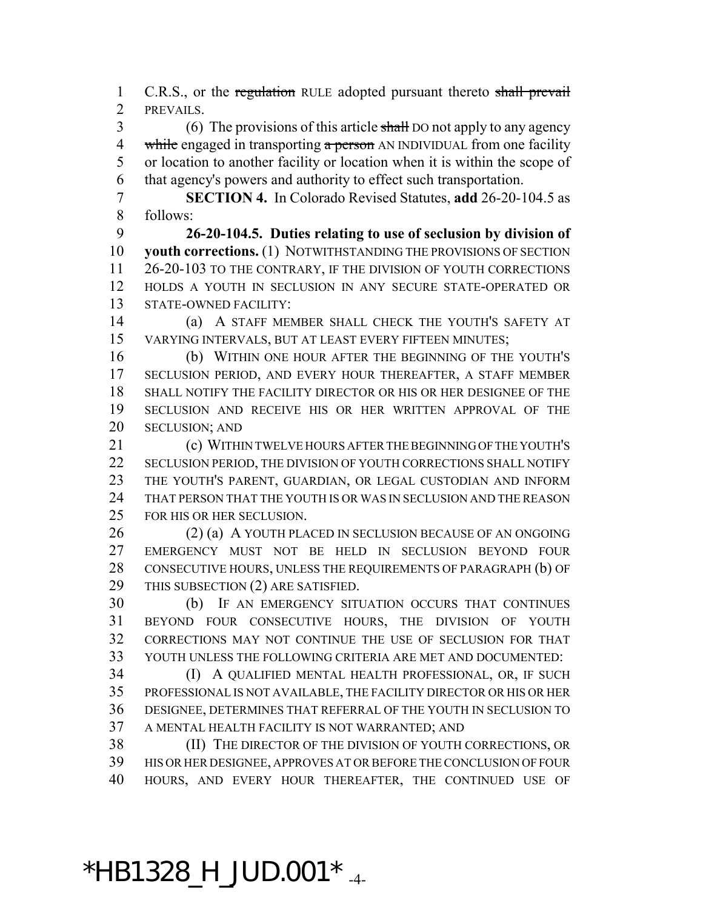1 C.R.S., or the regulation RULE adopted pursuant thereto shall prevail PREVAILS.

3 (6) The provisions of this article shall DO not apply to any agency 4 while engaged in transporting a person AN INDIVIDUAL from one facility or location to another facility or location when it is within the scope of that agency's powers and authority to effect such transportation.

 **SECTION 4.** In Colorado Revised Statutes, **add** 26-20-104.5 as follows:

 **26-20-104.5. Duties relating to use of seclusion by division of youth corrections.** (1) NOTWITHSTANDING THE PROVISIONS OF SECTION 26-20-103 TO THE CONTRARY, IF THE DIVISION OF YOUTH CORRECTIONS HOLDS A YOUTH IN SECLUSION IN ANY SECURE STATE-OPERATED OR STATE-OWNED FACILITY:

 (a) A STAFF MEMBER SHALL CHECK THE YOUTH'S SAFETY AT VARYING INTERVALS, BUT AT LEAST EVERY FIFTEEN MINUTES;

 (b) WITHIN ONE HOUR AFTER THE BEGINNING OF THE YOUTH'S SECLUSION PERIOD, AND EVERY HOUR THEREAFTER, A STAFF MEMBER SHALL NOTIFY THE FACILITY DIRECTOR OR HIS OR HER DESIGNEE OF THE SECLUSION AND RECEIVE HIS OR HER WRITTEN APPROVAL OF THE 20 SECLUSION; AND

 (c) WITHIN TWELVE HOURS AFTER THE BEGINNING OF THE YOUTH'S SECLUSION PERIOD, THE DIVISION OF YOUTH CORRECTIONS SHALL NOTIFY THE YOUTH'S PARENT, GUARDIAN, OR LEGAL CUSTODIAN AND INFORM THAT PERSON THAT THE YOUTH IS OR WAS IN SECLUSION AND THE REASON FOR HIS OR HER SECLUSION.

 (2) (a) A YOUTH PLACED IN SECLUSION BECAUSE OF AN ONGOING EMERGENCY MUST NOT BE HELD IN SECLUSION BEYOND FOUR CONSECUTIVE HOURS, UNLESS THE REQUIREMENTS OF PARAGRAPH (b) OF THIS SUBSECTION (2) ARE SATISFIED.

 (b) IF AN EMERGENCY SITUATION OCCURS THAT CONTINUES BEYOND FOUR CONSECUTIVE HOURS, THE DIVISION OF YOUTH CORRECTIONS MAY NOT CONTINUE THE USE OF SECLUSION FOR THAT YOUTH UNLESS THE FOLLOWING CRITERIA ARE MET AND DOCUMENTED:

 (I) A QUALIFIED MENTAL HEALTH PROFESSIONAL, OR, IF SUCH PROFESSIONAL IS NOT AVAILABLE, THE FACILITY DIRECTOR OR HIS OR HER DESIGNEE, DETERMINES THAT REFERRAL OF THE YOUTH IN SECLUSION TO A MENTAL HEALTH FACILITY IS NOT WARRANTED; AND

 (II) THE DIRECTOR OF THE DIVISION OF YOUTH CORRECTIONS, OR HIS OR HER DESIGNEE, APPROVES AT OR BEFORE THE CONCLUSION OF FOUR HOURS, AND EVERY HOUR THEREAFTER, THE CONTINUED USE OF

# $*$ HB1328\_H\_JUD.001 $*$   $_{-4}$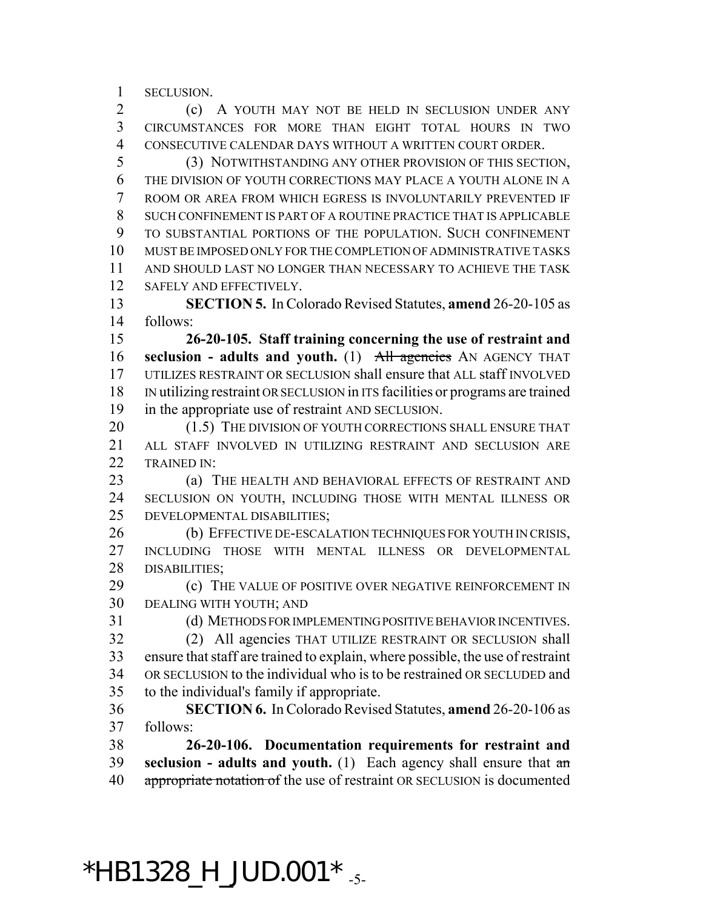SECLUSION.

 (c) A YOUTH MAY NOT BE HELD IN SECLUSION UNDER ANY CIRCUMSTANCES FOR MORE THAN EIGHT TOTAL HOURS IN TWO CONSECUTIVE CALENDAR DAYS WITHOUT A WRITTEN COURT ORDER.

 (3) NOTWITHSTANDING ANY OTHER PROVISION OF THIS SECTION, THE DIVISION OF YOUTH CORRECTIONS MAY PLACE A YOUTH ALONE IN A ROOM OR AREA FROM WHICH EGRESS IS INVOLUNTARILY PREVENTED IF SUCH CONFINEMENT IS PART OF A ROUTINE PRACTICE THAT IS APPLICABLE TO SUBSTANTIAL PORTIONS OF THE POPULATION. SUCH CONFINEMENT MUST BE IMPOSED ONLY FOR THE COMPLETION OF ADMINISTRATIVE TASKS AND SHOULD LAST NO LONGER THAN NECESSARY TO ACHIEVE THE TASK SAFELY AND EFFECTIVELY.

 **SECTION 5.** In Colorado Revised Statutes, **amend** 26-20-105 as follows:

 **26-20-105. Staff training concerning the use of restraint and seclusion - adults and youth.** (1) All agencies AN AGENCY THAT UTILIZES RESTRAINT OR SECLUSION shall ensure that ALL staff INVOLVED IN utilizing restraint OR SECLUSION in ITS facilities or programs are trained in the appropriate use of restraint AND SECLUSION.

20 (1.5) THE DIVISION OF YOUTH CORRECTIONS SHALL ENSURE THAT ALL STAFF INVOLVED IN UTILIZING RESTRAINT AND SECLUSION ARE TRAINED IN:

**(a)** THE HEALTH AND BEHAVIORAL EFFECTS OF RESTRAINT AND SECLUSION ON YOUTH, INCLUDING THOSE WITH MENTAL ILLNESS OR DEVELOPMENTAL DISABILITIES;

26 (b) EFFECTIVE DE-ESCALATION TECHNIQUES FOR YOUTH IN CRISIS, INCLUDING THOSE WITH MENTAL ILLNESS OR DEVELOPMENTAL DISABILITIES;

**(c)** THE VALUE OF POSITIVE OVER NEGATIVE REINFORCEMENT IN DEALING WITH YOUTH; AND

(d) METHODS FOR IMPLEMENTING POSITIVE BEHAVIOR INCENTIVES.

 (2) All agencies THAT UTILIZE RESTRAINT OR SECLUSION shall ensure that staff are trained to explain, where possible, the use of restraint OR SECLUSION to the individual who is to be restrained OR SECLUDED and to the individual's family if appropriate.

 **SECTION 6.** In Colorado Revised Statutes, **amend** 26-20-106 as follows:

 **26-20-106. Documentation requirements for restraint and seclusion - adults and youth.** (1) Each agency shall ensure that an 40 appropriate notation of the use of restraint OR SECLUSION is documented

#### $*$ HB1328\_H\_JUD.001 $*$ <sub>-5-</sub>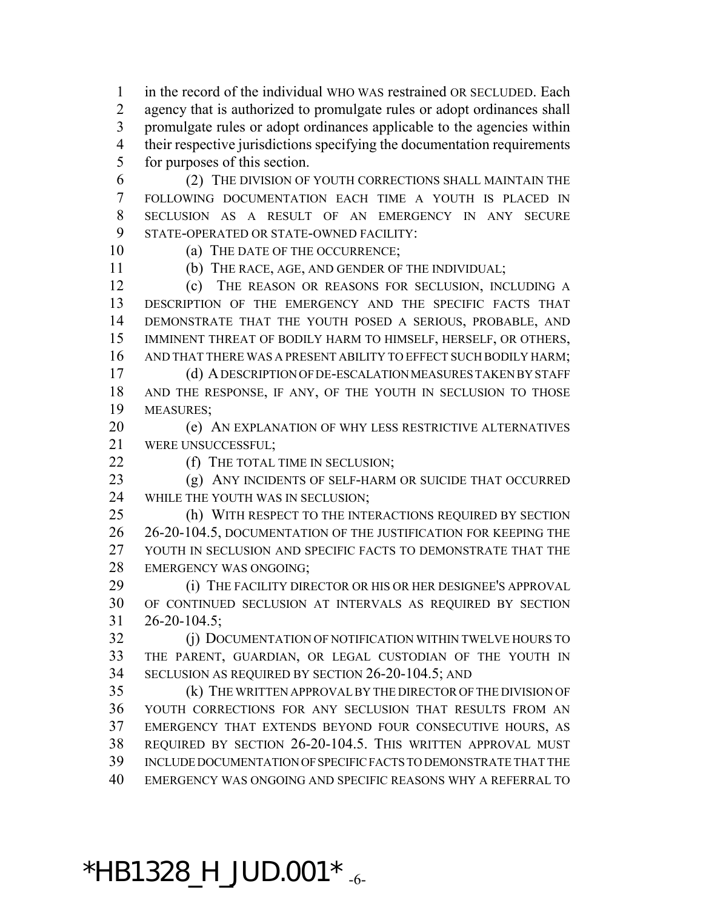in the record of the individual WHO WAS restrained OR SECLUDED. Each agency that is authorized to promulgate rules or adopt ordinances shall promulgate rules or adopt ordinances applicable to the agencies within their respective jurisdictions specifying the documentation requirements for purposes of this section.

- (2) THE DIVISION OF YOUTH CORRECTIONS SHALL MAINTAIN THE FOLLOWING DOCUMENTATION EACH TIME A YOUTH IS PLACED IN SECLUSION AS A RESULT OF AN EMERGENCY IN ANY SECURE STATE-OPERATED OR STATE-OWNED FACILITY:
- 

10 (a) THE DATE OF THE OCCURRENCE;

(b) THE RACE, AGE, AND GENDER OF THE INDIVIDUAL;

 (c) THE REASON OR REASONS FOR SECLUSION, INCLUDING A DESCRIPTION OF THE EMERGENCY AND THE SPECIFIC FACTS THAT DEMONSTRATE THAT THE YOUTH POSED A SERIOUS, PROBABLE, AND IMMINENT THREAT OF BODILY HARM TO HIMSELF, HERSELF, OR OTHERS, AND THAT THERE WAS A PRESENT ABILITY TO EFFECT SUCH BODILY HARM; (d) A DESCRIPTION OF DE-ESCALATION MEASURES TAKEN BY STAFF

 AND THE RESPONSE, IF ANY, OF THE YOUTH IN SECLUSION TO THOSE MEASURES;

 (e) AN EXPLANATION OF WHY LESS RESTRICTIVE ALTERNATIVES WERE UNSUCCESSFUL;

22 (f) THE TOTAL TIME IN SECLUSION;

 (g) ANY INCIDENTS OF SELF-HARM OR SUICIDE THAT OCCURRED WHILE THE YOUTH WAS IN SECLUSION;

 (h) WITH RESPECT TO THE INTERACTIONS REQUIRED BY SECTION 26-20-104.5, DOCUMENTATION OF THE JUSTIFICATION FOR KEEPING THE YOUTH IN SECLUSION AND SPECIFIC FACTS TO DEMONSTRATE THAT THE EMERGENCY WAS ONGOING;

**(i) THE FACILITY DIRECTOR OR HIS OR HER DESIGNEE'S APPROVAL**  OF CONTINUED SECLUSION AT INTERVALS AS REQUIRED BY SECTION 26-20-104.5;

**(j) DOCUMENTATION OF NOTIFICATION WITHIN TWELVE HOURS TO**  THE PARENT, GUARDIAN, OR LEGAL CUSTODIAN OF THE YOUTH IN SECLUSION AS REQUIRED BY SECTION 26-20-104.5; AND

 (k) THE WRITTEN APPROVAL BY THE DIRECTOR OF THE DIVISION OF YOUTH CORRECTIONS FOR ANY SECLUSION THAT RESULTS FROM AN EMERGENCY THAT EXTENDS BEYOND FOUR CONSECUTIVE HOURS, AS REQUIRED BY SECTION 26-20-104.5. THIS WRITTEN APPROVAL MUST INCLUDE DOCUMENTATION OF SPECIFIC FACTS TO DEMONSTRATE THAT THE EMERGENCY WAS ONGOING AND SPECIFIC REASONS WHY A REFERRAL TO

## $*$ HB1328\_H\_JUD.001 $*$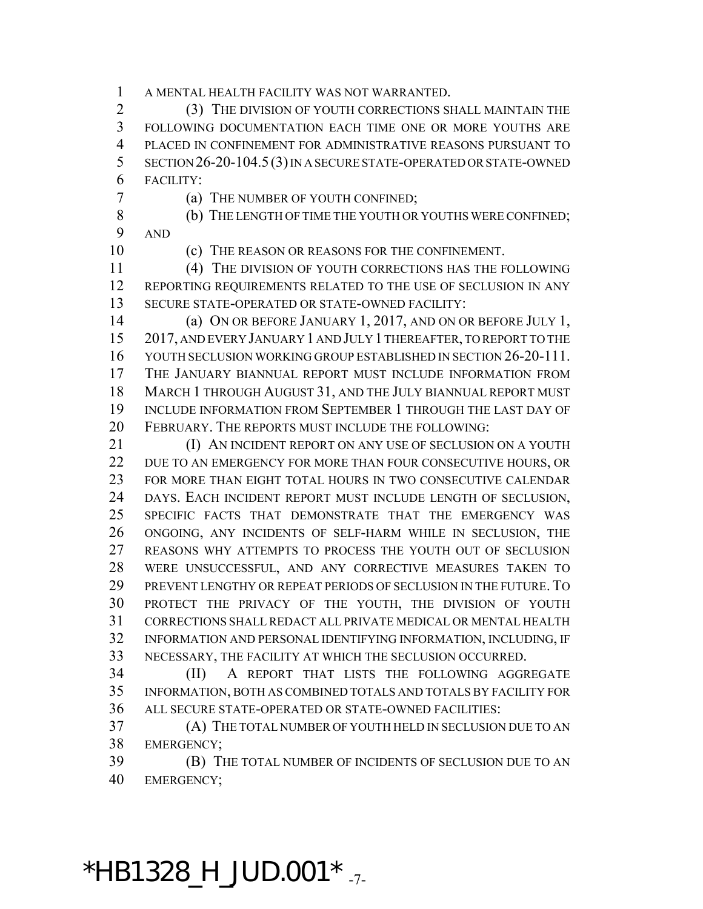A MENTAL HEALTH FACILITY WAS NOT WARRANTED.

 (3) THE DIVISION OF YOUTH CORRECTIONS SHALL MAINTAIN THE FOLLOWING DOCUMENTATION EACH TIME ONE OR MORE YOUTHS ARE PLACED IN CONFINEMENT FOR ADMINISTRATIVE REASONS PURSUANT TO SECTION 26-20-104.5(3) IN A SECURE STATE-OPERATED OR STATE-OWNED FACILITY:

(a) THE NUMBER OF YOUTH CONFINED;

8 (b) THE LENGTH OF TIME THE YOUTH OR YOUTHS WERE CONFINED; AND

(c) THE REASON OR REASONS FOR THE CONFINEMENT.

 (4) THE DIVISION OF YOUTH CORRECTIONS HAS THE FOLLOWING REPORTING REQUIREMENTS RELATED TO THE USE OF SECLUSION IN ANY SECURE STATE-OPERATED OR STATE-OWNED FACILITY:

 (a) ON OR BEFORE JANUARY 1, 2017, AND ON OR BEFORE JULY 1, 2017, AND EVERY JANUARY 1 AND JULY 1 THEREAFTER, TO REPORT TO THE YOUTH SECLUSION WORKING GROUP ESTABLISHED IN SECTION 26-20-111. THE JANUARY BIANNUAL REPORT MUST INCLUDE INFORMATION FROM MARCH 1 THROUGH AUGUST 31, AND THE JULY BIANNUAL REPORT MUST INCLUDE INFORMATION FROM SEPTEMBER 1 THROUGH THE LAST DAY OF FEBRUARY. THE REPORTS MUST INCLUDE THE FOLLOWING:

**(I) AN INCIDENT REPORT ON ANY USE OF SECLUSION ON A YOUTH** 22 DUE TO AN EMERGENCY FOR MORE THAN FOUR CONSECUTIVE HOURS, OR FOR MORE THAN EIGHT TOTAL HOURS IN TWO CONSECUTIVE CALENDAR DAYS. EACH INCIDENT REPORT MUST INCLUDE LENGTH OF SECLUSION, SPECIFIC FACTS THAT DEMONSTRATE THAT THE EMERGENCY WAS ONGOING, ANY INCIDENTS OF SELF-HARM WHILE IN SECLUSION, THE REASONS WHY ATTEMPTS TO PROCESS THE YOUTH OUT OF SECLUSION WERE UNSUCCESSFUL, AND ANY CORRECTIVE MEASURES TAKEN TO PREVENT LENGTHY OR REPEAT PERIODS OF SECLUSION IN THE FUTURE. TO PROTECT THE PRIVACY OF THE YOUTH, THE DIVISION OF YOUTH CORRECTIONS SHALL REDACT ALL PRIVATE MEDICAL OR MENTAL HEALTH INFORMATION AND PERSONAL IDENTIFYING INFORMATION, INCLUDING, IF NECESSARY, THE FACILITY AT WHICH THE SECLUSION OCCURRED.

 (II) A REPORT THAT LISTS THE FOLLOWING AGGREGATE INFORMATION, BOTH AS COMBINED TOTALS AND TOTALS BY FACILITY FOR ALL SECURE STATE-OPERATED OR STATE-OWNED FACILITIES:

 (A) THE TOTAL NUMBER OF YOUTH HELD IN SECLUSION DUE TO AN EMERGENCY;

 (B) THE TOTAL NUMBER OF INCIDENTS OF SECLUSION DUE TO AN EMERGENCY;

#### \*HB1328\_H\_JUD.001  $*$   $_{.7}$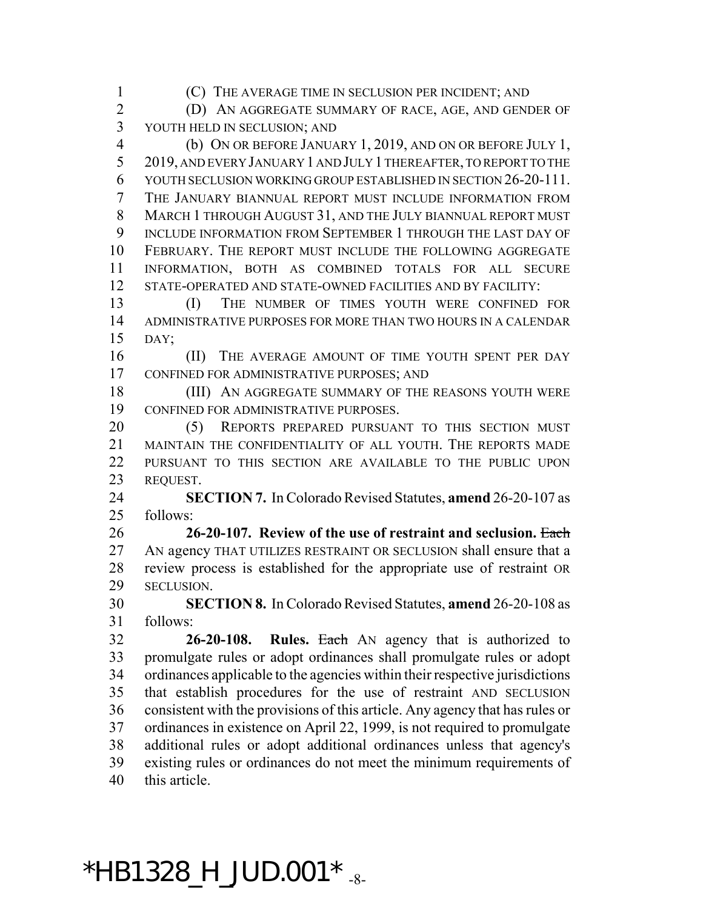(C) THE AVERAGE TIME IN SECLUSION PER INCIDENT; AND (D) AN AGGREGATE SUMMARY OF RACE, AGE, AND GENDER OF

YOUTH HELD IN SECLUSION; AND

 (b) ON OR BEFORE JANUARY 1, 2019, AND ON OR BEFORE JULY 1, 2019, AND EVERY JANUARY 1 AND JULY 1 THEREAFTER, TO REPORT TO THE YOUTH SECLUSION WORKING GROUP ESTABLISHED IN SECTION 26-20-111. THE JANUARY BIANNUAL REPORT MUST INCLUDE INFORMATION FROM MARCH 1 THROUGH AUGUST 31, AND THE JULY BIANNUAL REPORT MUST INCLUDE INFORMATION FROM SEPTEMBER 1 THROUGH THE LAST DAY OF FEBRUARY. THE REPORT MUST INCLUDE THE FOLLOWING AGGREGATE INFORMATION, BOTH AS COMBINED TOTALS FOR ALL SECURE STATE-OPERATED AND STATE-OWNED FACILITIES AND BY FACILITY:

13 (I) THE NUMBER OF TIMES YOUTH WERE CONFINED FOR ADMINISTRATIVE PURPOSES FOR MORE THAN TWO HOURS IN A CALENDAR DAY;

16 (II) THE AVERAGE AMOUNT OF TIME YOUTH SPENT PER DAY CONFINED FOR ADMINISTRATIVE PURPOSES; AND

18 (III) AN AGGREGATE SUMMARY OF THE REASONS YOUTH WERE CONFINED FOR ADMINISTRATIVE PURPOSES.

 (5) REPORTS PREPARED PURSUANT TO THIS SECTION MUST MAINTAIN THE CONFIDENTIALITY OF ALL YOUTH. THE REPORTS MADE 22 PURSUANT TO THIS SECTION ARE AVAILABLE TO THE PUBLIC UPON REQUEST.

 **SECTION 7.** In Colorado Revised Statutes, **amend** 26-20-107 as follows:

 **26-20-107. Review of the use of restraint and seclusion.** Each AN agency THAT UTILIZES RESTRAINT OR SECLUSION shall ensure that a review process is established for the appropriate use of restraint OR SECLUSION.

 **SECTION 8.** In Colorado Revised Statutes, **amend** 26-20-108 as follows:

 **26-20-108. Rules.** Each AN agency that is authorized to promulgate rules or adopt ordinances shall promulgate rules or adopt ordinances applicable to the agencies within their respective jurisdictions that establish procedures for the use of restraint AND SECLUSION consistent with the provisions of this article. Any agency that has rules or ordinances in existence on April 22, 1999, is not required to promulgate additional rules or adopt additional ordinances unless that agency's existing rules or ordinances do not meet the minimum requirements of this article.

#### $*$ HB1328\_H\_JUD.001 $*$   $_{-8-}$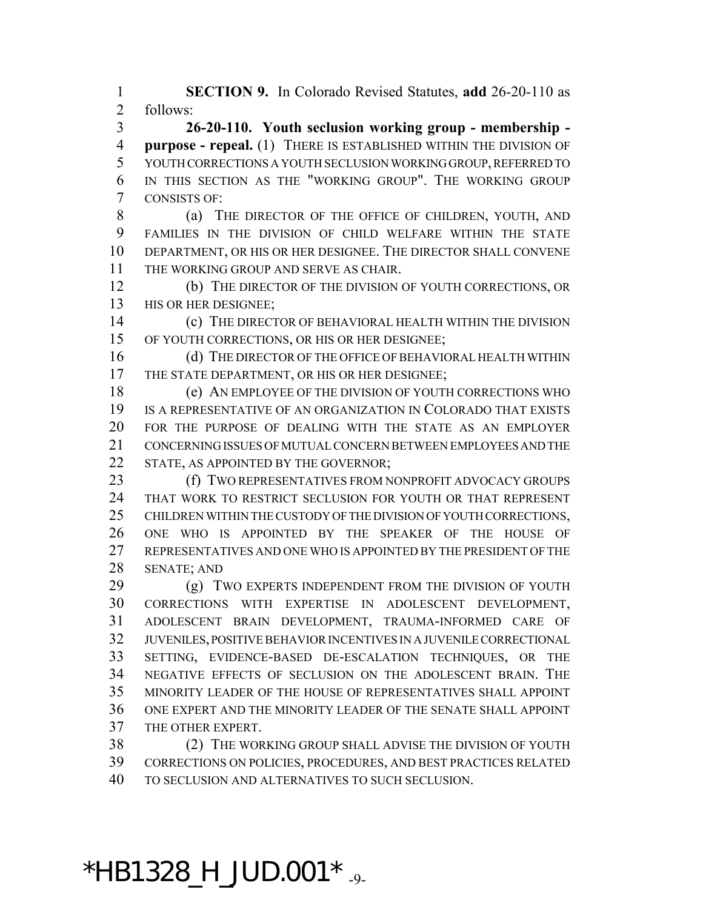**SECTION 9.** In Colorado Revised Statutes, **add** 26-20-110 as follows:

 **26-20-110. Youth seclusion working group - membership - purpose - repeal.** (1) THERE IS ESTABLISHED WITHIN THE DIVISION OF YOUTH CORRECTIONS A YOUTH SECLUSION WORKING GROUP, REFERRED TO IN THIS SECTION AS THE "WORKING GROUP". THE WORKING GROUP CONSISTS OF:

8 (a) THE DIRECTOR OF THE OFFICE OF CHILDREN, YOUTH, AND FAMILIES IN THE DIVISION OF CHILD WELFARE WITHIN THE STATE DEPARTMENT, OR HIS OR HER DESIGNEE. THE DIRECTOR SHALL CONVENE THE WORKING GROUP AND SERVE AS CHAIR.

 (b) THE DIRECTOR OF THE DIVISION OF YOUTH CORRECTIONS, OR 13 HIS OR HER DESIGNEE;

 (c) THE DIRECTOR OF BEHAVIORAL HEALTH WITHIN THE DIVISION OF YOUTH CORRECTIONS, OR HIS OR HER DESIGNEE;

16 (d) THE DIRECTOR OF THE OFFICE OF BEHAVIORAL HEALTH WITHIN 17 THE STATE DEPARTMENT, OR HIS OR HER DESIGNEE;

 (e) AN EMPLOYEE OF THE DIVISION OF YOUTH CORRECTIONS WHO IS A REPRESENTATIVE OF AN ORGANIZATION IN COLORADO THAT EXISTS FOR THE PURPOSE OF DEALING WITH THE STATE AS AN EMPLOYER CONCERNING ISSUES OF MUTUAL CONCERN BETWEEN EMPLOYEES AND THE 22 STATE, AS APPOINTED BY THE GOVERNOR;

23 (f) TWO REPRESENTATIVES FROM NONPROFIT ADVOCACY GROUPS THAT WORK TO RESTRICT SECLUSION FOR YOUTH OR THAT REPRESENT CHILDREN WITHIN THE CUSTODY OF THE DIVISION OF YOUTH CORRECTIONS, ONE WHO IS APPOINTED BY THE SPEAKER OF THE HOUSE OF REPRESENTATIVES AND ONE WHO IS APPOINTED BY THE PRESIDENT OF THE SENATE; AND

29 (g) TWO EXPERTS INDEPENDENT FROM THE DIVISION OF YOUTH CORRECTIONS WITH EXPERTISE IN ADOLESCENT DEVELOPMENT, ADOLESCENT BRAIN DEVELOPMENT, TRAUMA-INFORMED CARE OF JUVENILES, POSITIVE BEHAVIOR INCENTIVES IN A JUVENILE CORRECTIONAL SETTING, EVIDENCE-BASED DE-ESCALATION TECHNIQUES, OR THE NEGATIVE EFFECTS OF SECLUSION ON THE ADOLESCENT BRAIN. THE MINORITY LEADER OF THE HOUSE OF REPRESENTATIVES SHALL APPOINT ONE EXPERT AND THE MINORITY LEADER OF THE SENATE SHALL APPOINT THE OTHER EXPERT.

 (2) THE WORKING GROUP SHALL ADVISE THE DIVISION OF YOUTH CORRECTIONS ON POLICIES, PROCEDURES, AND BEST PRACTICES RELATED TO SECLUSION AND ALTERNATIVES TO SUCH SECLUSION.

## $*$ HB1328\_H\_JUD.001 $*$   $_{.9}$